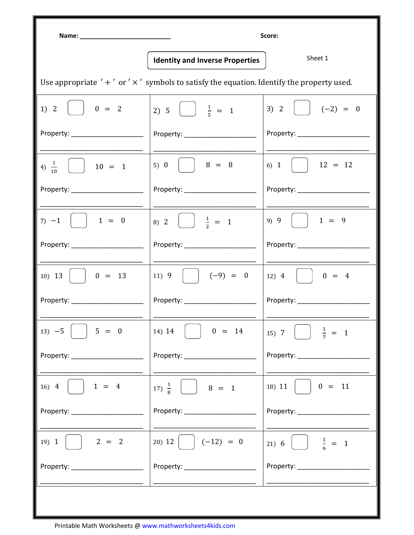|                                                                                                    |                                                                  | Score:                                                                                                                                                                                                                                                                                                                                      |
|----------------------------------------------------------------------------------------------------|------------------------------------------------------------------|---------------------------------------------------------------------------------------------------------------------------------------------------------------------------------------------------------------------------------------------------------------------------------------------------------------------------------------------|
|                                                                                                    | <b>Identity and Inverse Properties</b>                           | Sheet 1                                                                                                                                                                                                                                                                                                                                     |
| Use appropriate $' +'$ or $' \times'$ symbols to satisfy the equation. Identify the property used. |                                                                  |                                                                                                                                                                                                                                                                                                                                             |
| 1) 2<br>$\begin{vmatrix} 0 & = & 2 \end{vmatrix}$                                                  | 2) 5 $\frac{1}{5}$ = 1                                           | 3) 2<br>$\begin{vmatrix} -2 & = & 0 \\ 1 & 0 & 0 \\ 0 & 0 & 0 \\ 0 & 0 & 0 \\ 0 & 0 & 0 \\ 0 & 0 & 0 \\ 0 & 0 & 0 \\ 0 & 0 & 0 \\ 0 & 0 & 0 \\ 0 & 0 & 0 \\ 0 & 0 & 0 \\ 0 & 0 & 0 \\ 0 & 0 & 0 \\ 0 & 0 & 0 & 0 \\ 0 & 0 & 0 & 0 \\ 0 & 0 & 0 & 0 \\ 0 & 0 & 0 & 0 & 0 \\ 0 & 0 & 0 & 0 & 0 \\ 0 & 0 & 0 & 0 & 0 \\ 0 & 0 & 0 & 0 & 0 & 0$ |
| Property: ________________________                                                                 | Property: ______________________                                 | Property: _____________________                                                                                                                                                                                                                                                                                                             |
| 4) $\frac{1}{10}$<br>$\vert$ 10 = 1                                                                | 5) 0     $8 = 8$                                                 | 6) 1   12 = 12                                                                                                                                                                                                                                                                                                                              |
|                                                                                                    | Property: Property:                                              | Property: _______________                                                                                                                                                                                                                                                                                                                   |
| $7) -1$   1 = 0                                                                                    | 8) 2 $\left(\begin{array}{c} \frac{1}{2} = 1 \end{array}\right)$ | 9) 9                                                                                                                                                                                                                                                                                                                                        |
|                                                                                                    | Property: Property:                                              |                                                                                                                                                                                                                                                                                                                                             |
| 10) 13   $\vert$ 0 = 13                                                                            | 11) 9 $(-9) = 0$                                                 | $12)$ 4<br>$\begin{vmatrix} 1 & 0 \\ 0 & 4 \end{vmatrix}$                                                                                                                                                                                                                                                                                   |
|                                                                                                    |                                                                  | Property: ____________                                                                                                                                                                                                                                                                                                                      |
| $13) -5$<br>$5 = 0$                                                                                | 14) 14<br>$0 = 14$                                               | $\frac{1}{7}$ = 1<br>15) 7 $\vert$ $\vert$                                                                                                                                                                                                                                                                                                  |
|                                                                                                    | Property: ______________                                         | Property: Network of the state of the state of the state of the state of the state of the state of the state o                                                                                                                                                                                                                              |
| $16) 4$   $1 = 4$                                                                                  | 17) $\frac{1}{8}$<br>$8 = 1$                                     | 18) 11<br>$0 = 11$                                                                                                                                                                                                                                                                                                                          |
|                                                                                                    |                                                                  | Property: National Property:                                                                                                                                                                                                                                                                                                                |
| 19) 1<br>$2 = 2$                                                                                   | 20) 12 $\vert$ $\vert$ $(-12) = 0$                               | $\frac{1}{6}$ = 1<br>21) 6                                                                                                                                                                                                                                                                                                                  |
| Property: _______________                                                                          | Property: ________________                                       |                                                                                                                                                                                                                                                                                                                                             |
|                                                                                                    |                                                                  |                                                                                                                                                                                                                                                                                                                                             |